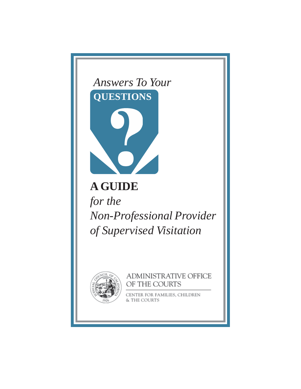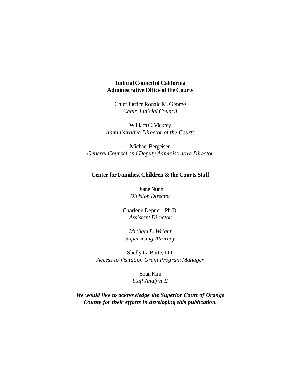#### **Judicial Council of California Administrative Office of the Courts**

Chief Justice Ronald M. George *Chair, Judicial Council*

William C. Vickrey *Administrative Director of the Courts*

Michael Bergeisen *General Counsel and Deputy Administrative Director*

#### **Center for Families, Children & the Courts Staff**

Diane Nunn *Division Director*

Charlene Depner , Ph.D. *Assistant Director*

*Michael L. Wright Supervising Attorney*

Shelly La Botte, J.D. *Access to Visitation Grant Program Manager*

> Youn Kim *Staff Analyst II*

*We would like to acknowledge the Superior Court of Orange County for their efforts in developing this publication.*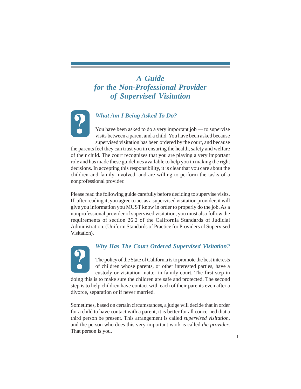# *A Guide for the Non-Professional Provider of Supervised Visitation*



## *What Am I Being Asked To Do?*

You have been asked to do a very important job — to supervise visits between a parent and a child. You have been asked because supervised visitation has been ordered by the court, and because

the parents feel they can trust you in ensuring the health, safety and welfare of their child. The court recognizes that you are playing a very important role and has made these guidelines available to help you in making the right decisions. In accepting this responsibility, it is clear that you care about the children and family involved, and are willing to perform the tasks of a nonprofessional provider.

Please read the following guide carefully before deciding to supervise visits. If, after reading it, you agree to act as a supervised visitation provider, it will give you information you MUST know in order to properly do the job. As a nonprofessional provider of supervised visitation, you must also follow the requirements of section 26.2 of the California Standards of Judicial Administration. (Uniform Standards of Practice for Providers of Supervised Visitation).



## *Why Has The Court Ordered Supervised Visitation?*

The policy of the State of California is to promote the best interests of children whose parents, or other interested parties, have a custody or visitation matter in family court. The first step in

doing this is to make sure the children are safe and protected. The second step is to help children have contact with each of their parents even after a divorce, separation or if never married.

Sometimes, based on certain circumstances, a judge will decide that in order for a child to have contact with a parent, it is better for all concerned that a third person be present. This arrangement is called *supervised visitation*, and the person who does this very important work is called *the provider*. That person is you.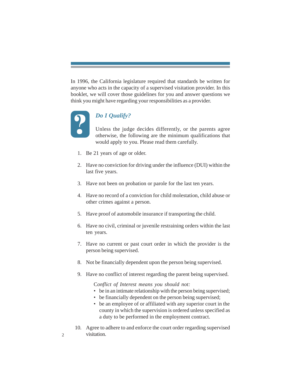In 1996, the California legislature required that standards be written for anyone who acts in the capacity of a supervised visitation provider. In this booklet, we will cover those guidelines for you and answer questions we think you might have regarding your responsibilities as a provider.



# *Do I Qualify?*

Unless the judge decides differently, or the parents agree otherwise, the following are the minimum qualifications that would apply to you. Please read them carefully.

- 1. Be 21 years of age or older.
- 2. Have no conviction for driving under the influence (DUI) within the last five years.
- 3. Have not been on probation or parole for the last ten years.
- 4. Have no record of a conviction for child molestation, child abuse or other crimes against a person.
- 5. Have proof of automobile insurance if transporting the child.
- 6. Have no civil, criminal or juvenile restraining orders within the last ten years.
- 7. Have no current or past court order in which the provider is the person being supervised.
- 8. Not be financially dependent upon the person being supervised.
- 9. Have no conflict of interest regarding the parent being supervised.

C*onflict of Interest means you should not:*

- be in an intimate relationship with the person being supervised;
- be financially dependent on the person being supervised;
- be an employee of or affiliated with any superior court in the county in which the supervision is ordered unless specified as a duty to be performed in the employment contract.
- 10. Agree to adhere to and enforce the court order regarding supervised 2 visitation.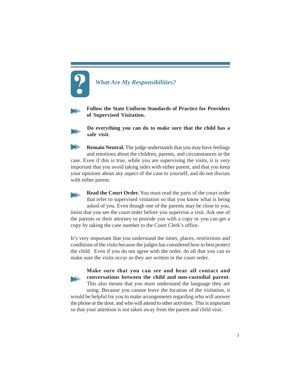# *What Are My Responsibilities?*



**Follow the State Uniform Standards of Practice for Providers of Supervised Visitation.**



**Do everything you can do to make sure that the child has a safe visit**.

**Remain Neutral.** The judge understands that you may have feelings and emotions about the children, parents, and circumstances in the case. Even if this is true, while you are supervising the visits, it is very important that you avoid taking sides with either parent, and that you keep your opinions about any aspect of the case to yourself, and do not discuss with either parent.

**Read the Court Order.** You must read the parts of the court order that refer to supervised visitation so that you know what is being asked of you. Even though one of the parents may be close to you, insist that you see the court order before you supervise a visit. Ask one of the parents or their attorney to provide you with a copy or you can get a copy by taking the case number to the Court Clerk's office.

It's very important that you understand the times, places, restrictions and conditions of the visits because the judges has considered how to best protect the child. Even if you do not agree with the order, do all that you can to make sure the visits occur as they are written in the court order.

> **Make sure that you can see and hear all contact and conversations between the child and non-custodial parent**. This also means that you must understand the language they are

using. Because you cannot leave the location of the visitation, it would be helpful for you to make arrangements regarding who will answer the phone or the door, and who will attend to other activities. This is important

so that your attention is not taken away from the parent and child visit.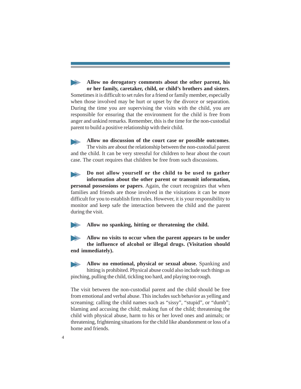**Allow no derogatory comments about the other parent, his or her family, caretaker, child, or child's brothers and sisters**. Sometimes it is difficult to set rules for a friend or family member, especially when those involved may be hurt or upset by the divorce or separation. During the time you are supervising the visits with the child, you are responsible for ensuring that the environment for the child is free from anger and unkind remarks. Remember, this is the time for the non-custodial parent to build a positive relationship with their child.

**Allow no discussion of the court case or possible outcomes**. The visits are about the relationship between the non-custodial parent and the child. It can be very stressful for children to hear about the court case. The court requires that children be free from such discussions.

**Do not allow yourself or the child to be used to gather information about the other parent or transmit information, personal possessions or papers**. Again, the court recognizes that when families and friends are those involved in the visitations it can be more difficult for you to establish firm rules. However, it is your responsibility to monitor and keep safe the interaction between the child and the parent during the visit.

**Allow no spanking, hitting or threatening the child.**

**Allow no visits to occur when the parent appears to be under the influence of alcohol or illegal drugs. (Visitation should end immediately).**

**Allow no emotional, physical or sexual abuse.** Spanking and hitting is prohibited. Physical abuse could also include such things as pinching, pulling the child, tickling too hard, and playing too rough.

The visit between the non-custodial parent and the child should be free from emotional and verbal abuse. This includes such behavior as yelling and screaming; calling the child names such as "sissy", "stupid", or "dumb"; blaming and accusing the child; making fun of the child; threatening the child with physical abuse, harm to his or her loved ones and animals; or threatening, frightening situations for the child like abandonment or loss of a home and friends.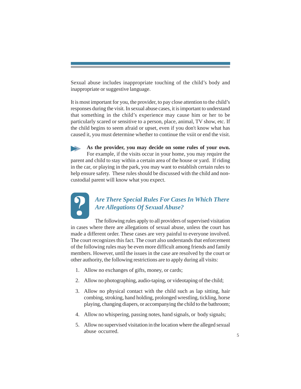Sexual abuse includes inappropriate touching of the child's body and inappropriate or suggestive language.

It is most important for you, the provider, to pay close attention to the child's responses during the visit. In sexual abuse cases, it is important to understand that something in the child's experience may cause him or her to be particularly scared or sensitive to a person, place, animal, TV show, etc. If the child begins to seem afraid or upset, even if you don't know what has caused it, you must determine whether to continue the vsiit or end the visit.

**As the provider, you may decide on some rules of your own.** For example, if the visits occur in your home, you may require the parent and child to stay within a certain area of the house or yard. If riding in the car, or playing in the park, you may want to establish certain rules to help ensure safety. These rules should be discussed with the child and noncustodial parent will know what you expect.



# *Are There Special Rules For Cases In Which There Are Allegations Of Sexual Abuse?*

The following rules apply to all providers of supervised visitation in cases where there are allegations of sexual abuse, unless the court has made a different order. These cases are very painful to everyone involved. The court recognizes this fact. The court also understands that enforcement of the following rules may be even more difficult among friends and family members. However, until the issues in the case are resolved by the court or other authority, the following restrictions are to apply during all visits:

- 1. Allow no exchanges of gifts, money, or cards;
- 2. Allow no photographing, audio-taping, or videotaping of the child;
- 3. Allow no physical contact with the child such as lap sitting, hair combing, stroking, hand holding, prolonged wrestling, tickling, horse playing, changing diapers, or accompanying the child to the bathroom;
- 4. Allow no whispering, passing notes, hand signals, or body signals;
- 5. Allow no supervised visitation in the location where the alleged sexual abuse occurred.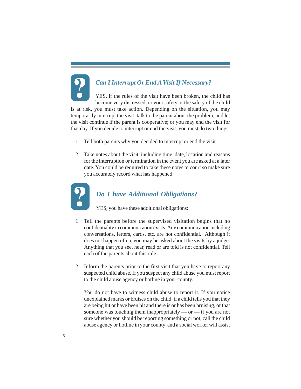# *Can I Interrupt Or End A Visit If Necessary?*

YES, if the rules of the visit have been broken, the child has become very distressed, or your safety or the safety of the child is at risk, you must take action. Depending on the situation, you may temporarily interrupt the visit, talk to the parent about the problem, and let the visit continue if the parent is cooperative; or you may end the visit for that day. If you decide to interrupt or end the visit, you must do two things:

- 1. Tell both parents why you decided to interrupt or end the visit.
- 2. Take notes about the visit, including time, date, location and reasons for the interruption or termination in the event you are asked at a later date. You could be required to take these notes to court so make sure you accurately record what has happened.



## *Do I have Additional Obligations?*

YES, you have these additional obligations:

- 1. Tell the parents before the supervised visitation begins that no confidentiality in communication exists. Any communication including conversations, letters, cards, etc. are not confidential. Although it does not happen often, you may be asked about the visits by a judge. Anything that you see, hear, read or are told is not confidential. Tell each of the parents about this rule.
- 2. Inform the parents prior to the first visit that you have to report any suspected child abuse. If you suspect any child abuse you must report to the child abuse agency or hotline in your county.

You do not have to witness child abuse to report it. If you notice unexplained marks or bruises on the child, if a child tells you that they are being hit or have been hit and there is or has been bruising, or that someone was touching them inappropriately — or — if you are not sure whether you should be reporting something or not, call the child abuse agency or hotline in your county and a social worker will assist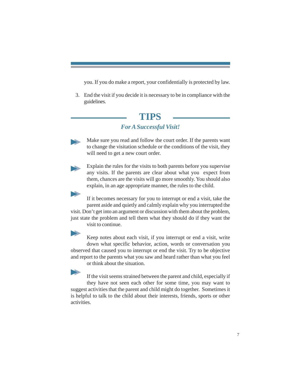you. If you do make a report, your confidentially is protected by law.

3. End the visit if you decide it is necessary to be in compliance with the guidelines.

# **TIPS**

## *For A Successful Visit!*

Make sure you read and follow the court order. If the parents want to change the visitation schedule or the conditions of the visit, they will need to get a new court order.



Explain the rules for the visits to both parents before you supervise any visits. If the parents are clear about what you expect from them, chances are the visits will go more smoothly. You should also explain, in an age appropriate manner, the rules to the child.

If it becomes necessary for you to interrupt or end a visit, take the parent aside and quietly and calmly explain why you interrupted the visit. Don't get into an argument or discussion with them about the problem, just state the problem and tell them what they should do if they want the visit to continue.



Keep notes about each visit, if you interrupt or end a visit, write down what specific behavior, action, words or conversation you observed that caused you to interrupt or end the visit. Try to be objective and report to the parents what you saw and heard rather than what you feel or think about the situation.

If the visit seems strained between the parent and child, especially if they have not seen each other for some time, you may want to suggest activities that the parent and child might do together. Sometimes it is helpful to talk to the child about their interests, friends, sports or other activities.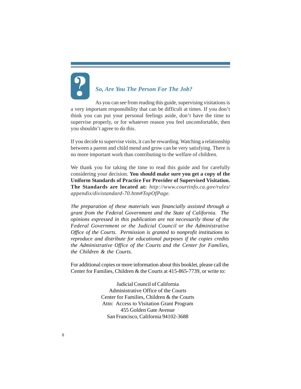# *So, Are You The Person For The Job?*

As you can see from reading this guide, supervising visitations is a very important responsibility that can be difficult at times. If you don't think you can put your personal feelings aside, don't have the time to supervise properly, or for whatever reason you feel uncomfortable, then you shouldn't agree to do this.

If you decide to supervise visits, it can be rewarding. Watching a relationship between a parent and child mend and grow can be very satisfying. There is no more important work than contributing to the welfare of children.

We thank you for taking the time to read this guide and for carefully considering your decision. **You should make sure you get a copy of the Uniform Standards of Practice For Provider of Supervised Visitation. The Standards are located at:** *http://www.courtinfo.ca.gov/rules/ appendix/divistandard-70.htm#TopOfPage.*

*The preparation of these materials was financially assisted through a grant from the Federal Government and the State of California. The opinions expressed in this publication are not necessarily those of the Federal Government or the Judicial Council or the Administrative Office of the Courts. Permission is granted to nonprofit institutions to reproduce and distribute for educational purposes if the copies credits the Administrative Office of the Courts and the Center for Families, the Children & the Courts.*

For additional copies or more information about this booklet, please call the Center for Families, Children & the Courts at 415-865-7739, or write to:

> Judicial Council of California Administrative Office of the Courts Center for Families, Children & the Courts Attn: Access to Visitation Grant Program 455 Golden Gate Avenue San Francisco, California 94102-3688